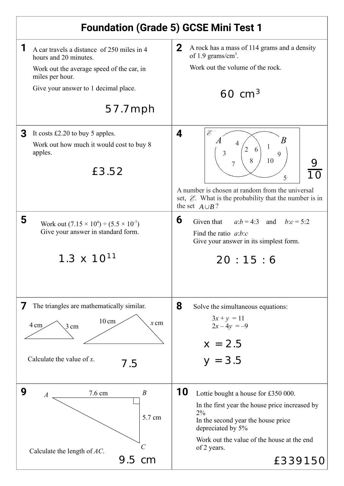| <b>Foundation (Grade 5) GCSE Mini Test 1</b>                                                                                                                                                                                      |                                                                                                                                                                                                                                                                                                                                                        |
|-----------------------------------------------------------------------------------------------------------------------------------------------------------------------------------------------------------------------------------|--------------------------------------------------------------------------------------------------------------------------------------------------------------------------------------------------------------------------------------------------------------------------------------------------------------------------------------------------------|
| 1<br>A car travels a distance of 250 miles in 4<br>hours and 20 minutes.<br>Work out the average speed of the car, in<br>miles per hour.<br>Give your answer to 1 decimal place.<br>$57.7$ mph                                    | $\mathbf{2}$<br>A rock has a mass of 114 grams and a density<br>of 1.9 grams/ $cm3$ .<br>Work out the volume of the rock.<br>$60 \text{ cm}^3$                                                                                                                                                                                                         |
| 3<br>It costs $£2.20$ to buy 5 apples.<br>Work out how much it would cost to buy 8<br>apples.<br>£3.52<br>5<br>Work out $(7.15 \times 10^4) \div (5.5 \times 10^7)$<br>Give your answer in standard form.<br>$1.3 \times 10^{11}$ | Ê<br>4<br>B<br>$\overline{2}$<br>6<br>9<br>10<br>8<br>$\overline{5}$<br>A number is chosen at random from the universal<br>set, $\mathcal{E}$ . What is the probability that the number is in<br>the set $A \cup B$ ?<br>6<br>Given that<br>$a:b = 4:3$ and $b:c = 5:2$<br>Find the ratio $a:b:c$<br>Give your answer in its simplest form.<br>20:15:6 |
| The triangles are mathematically similar.<br>$\prime$<br>$10 \text{ cm}$<br>$x$ cm<br>4 cm<br>$3 \text{ cm}$<br>Calculate the value of $x$ .<br>7.5<br>9<br>$\boldsymbol{B}$<br>7.6 cm<br>$\boldsymbol{A}$                        | 8<br>Solve the simultaneous equations:<br>$3x + y = 11$<br>$2x-4y = -9$<br>$x = 2.5$<br>$y = 3.5$<br>10<br>Lottie bought a house for £350 000.                                                                                                                                                                                                         |
| 5.7 cm<br>C<br>Calculate the length of $AC$ .<br>$9.5 \text{ cm}$                                                                                                                                                                 | In the first year the house price increased by<br>2%<br>In the second year the house price<br>depreciated by 5%<br>Work out the value of the house at the end<br>of 2 years.<br>£33915C                                                                                                                                                                |